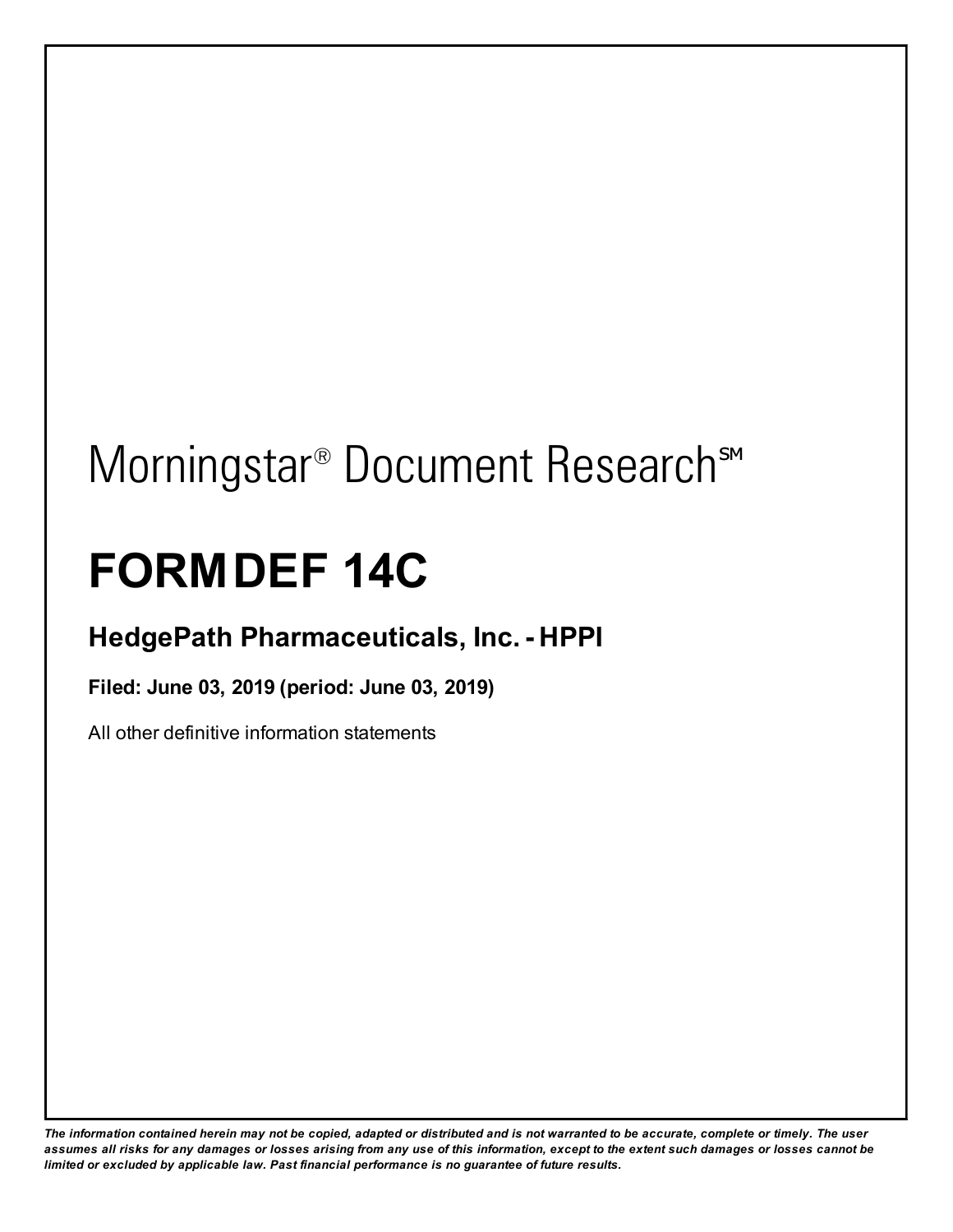# Morningstar<sup>®</sup> Document Research<sup>sM</sup>

## **FORMDEF 14C**

## **HedgePath Pharmaceuticals, Inc.- HPPI**

**Filed: June 03, 2019 (period: June 03, 2019)**

All other definitive information statements

The information contained herein may not be copied, adapted or distributed and is not warranted to be accurate, complete or timely. The user assumes all risks for any damages or losses arising from any use of this information, except to the extent such damages or losses cannot be *limited or excluded by applicable law. Past financial performance is no guarantee of future results.*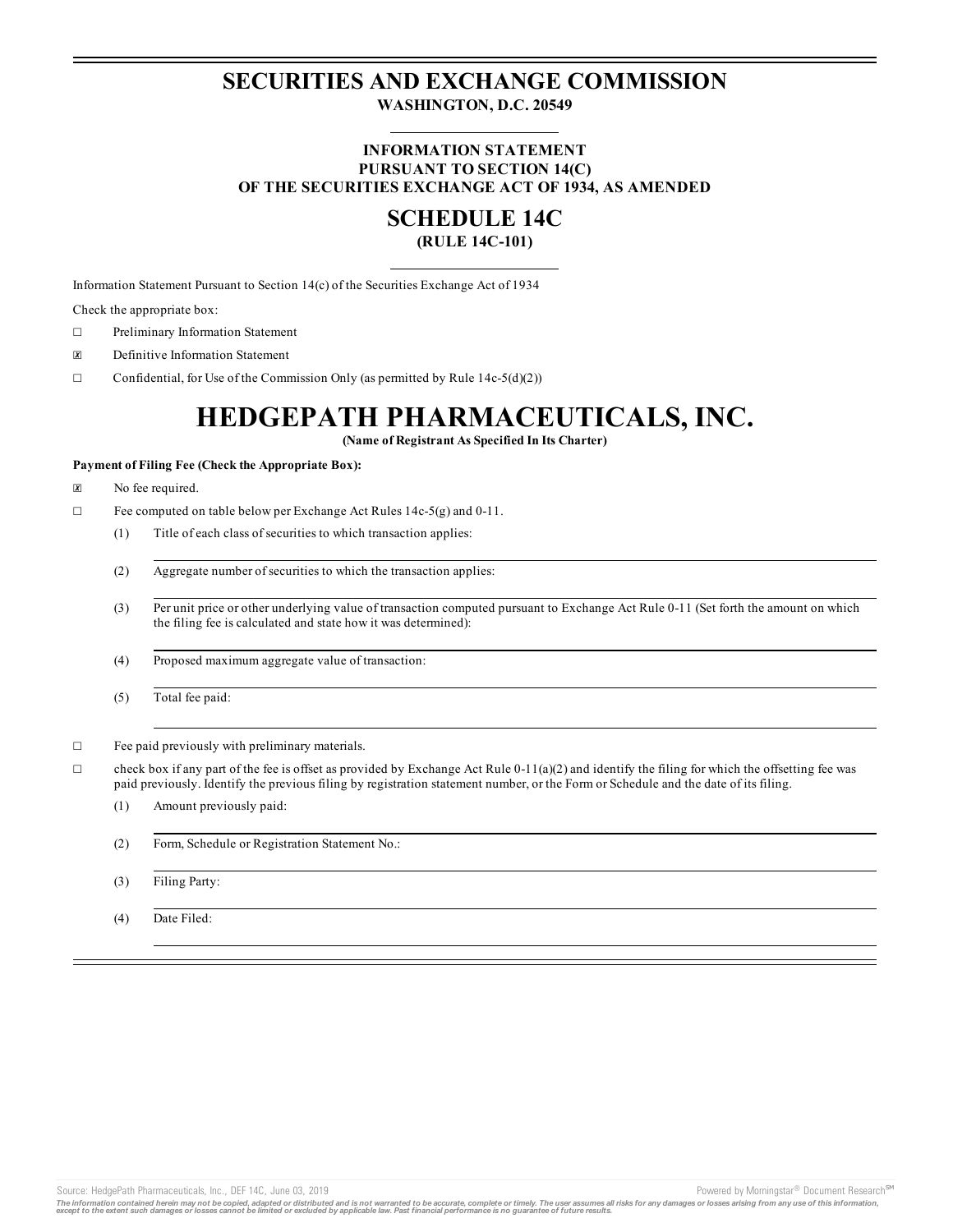### **SECURITIES AND EXCHANGE COMMISSION WASHINGTON, D.C. 20549**

#### **INFORMATION STATEMENT PURSUANT TO SECTION 14(C) OF THE SECURITIES EXCHANGE ACT OF 1934, AS AMENDED**

### **SCHEDULE 14C**

#### **(RULE 14C-101)**

Information Statement Pursuant to Section 14(c) of the Securities Exchange Act of 1934

Check the appropriate box:

- ☐ Preliminary Information Statement
- ☒ Definitive Information Statement
- $\Box$  Confidential, for Use of the Commission Only (as permitted by Rule 14c-5(d)(2))

## **HEDGEPATH PHARMACEUTICALS, INC.**

**(Name of Registrant As Specified In Its Charter)**

#### **Payment of Filing Fee (Check the Appropriate Box):**

- ☒ No fee required.
- ☐ Fee computed on table below per Exchange Act Rules 14c-5(g) and 0-11.
	- (1) Title of each class of securities to which transaction applies:
	- (2) Aggregate number of securities to which the transaction applies:
	- (3) Per unit price or other underlying value of transaction computed pursuant to Exchange Act Rule 0-11 (Set forth the amount on which the filing fee is calculated and state how it was determined):
	- (4) Proposed maximum aggregate value of transaction:
	- (5) Total fee paid:

☐ Fee paid previously with preliminary materials.

- $\Box$  check box if any part of the fee is offset as provided by Exchange Act Rule 0-11(a)(2) and identify the filing for which the offsetting fee was paid previously. Identify the previous filing by registration statement number, or the Form or Schedule and the date of its filing.
	- (1) Amount previously paid:
	- (2) Form, Schedule or Registration Statement No.:
	- (3) Filing Party:
	- (4) Date Filed:

Source: HedgePath Pharmaceuticals, Inc., DEF 14C, June 03, 2019 **Powered by Morningstar® Document Research** Morningstar® Document Research Morningstar® Document Research Morningstar® Document Research Morningstar® Document

The information contained herein may not be copied, adapted or distributed and is not warranted to be accurate, complete or timely. The user assumes all risks for any damages or losses arising from any use of this informat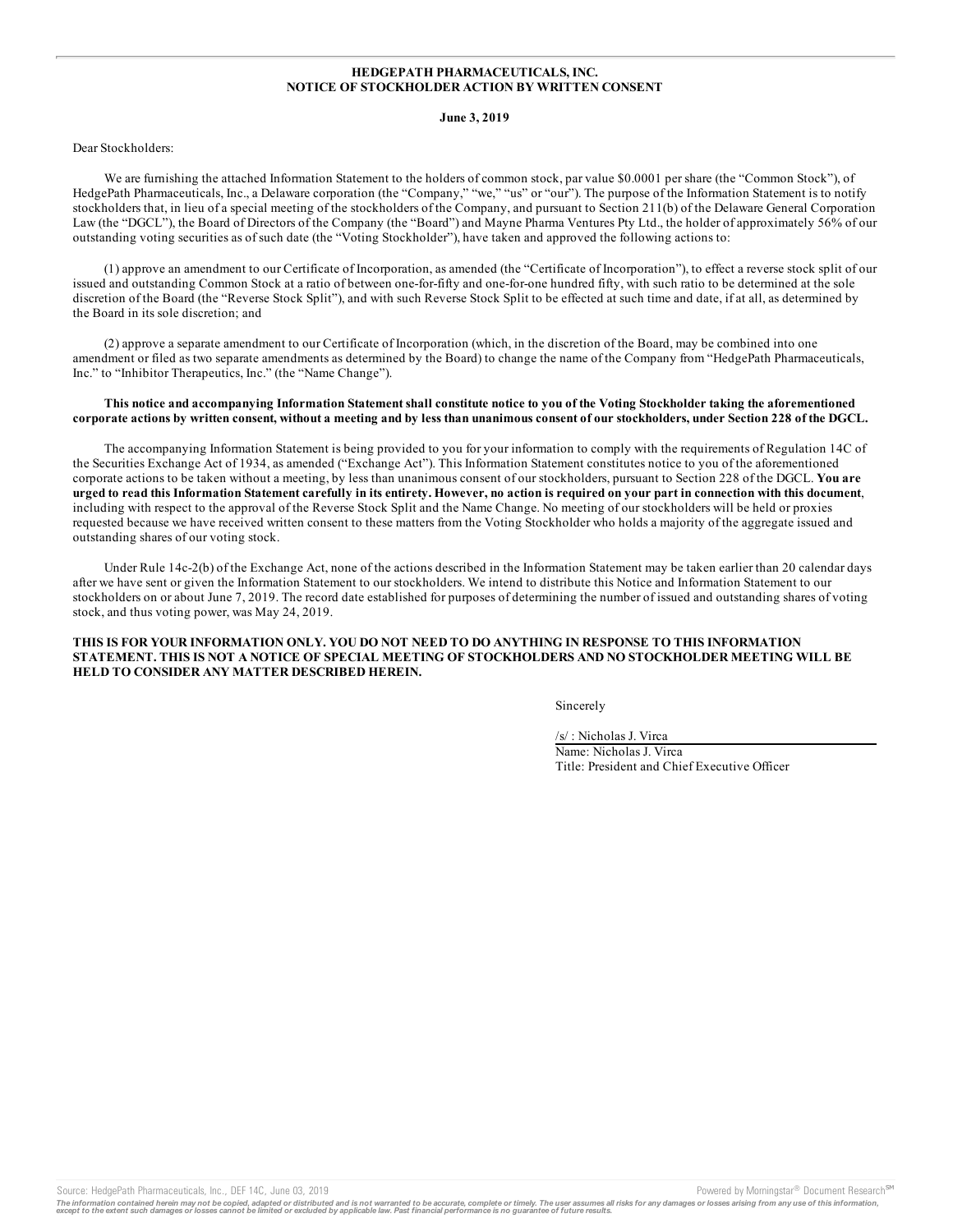#### **HEDGEPATH PHARMACEUTICALS, INC. NOTICE OF STOCKHOLDER ACTION BY WRITTEN CONSENT**

#### **June 3, 2019**

#### Dear Stockholders:

We are furnishing the attached Information Statement to the holders of common stock, par value \$0.0001 per share (the "Common Stock"), of HedgePath Pharmaceuticals, Inc., a Delaware corporation (the "Company," "we," "us" or "our"). The purpose of the Information Statement is to notify stockholders that, in lieu of a special meeting of the stockholders of the Company, and pursuant to Section 211(b) of the Delaware General Corporation Law (the "DGCL"), the Board of Directors of the Company (the "Board") and Mayne Pharma Ventures Pty Ltd., the holder of approximately 56% of our outstanding voting securities as of such date (the "Voting Stockholder"), have taken and approved the following actions to:

(1) approve an amendment to our Certificate of Incorporation, as amended (the "Certificate of Incorporation"), to effect a reverse stock split of our issued and outstanding Common Stock at a ratio of between one-for-fifty and one-for-one hundred fifty, with such ratio to be determined at the sole discretion of the Board (the "Reverse Stock Split"), and with such Reverse Stock Split to be effected at such time and date, if at all, as determined by the Board in its sole discretion; and

(2) approve a separate amendment to our Certificate of Incorporation (which, in the discretion of the Board, may be combined into one amendment or filed as two separate amendments as determined by the Board) to change the name of the Company from "HedgePath Pharmaceuticals, Inc." to "Inhibitor Therapeutics, Inc." (the "Name Change").

#### This notice and accompanying Information Statement shall constitute notice to you of the Voting Stockholder taking the aforementioned corporate actions by written consent, without a meeting and by less than unanimous consent of our stockholders, under Section 228 of the DGCL.

The accompanying Information Statement is being provided to you for your information to comply with the requirements of Regulation 14C of the Securities Exchange Act of 1934, as amended ("Exchange Act"). This Information Statement constitutes notice to you of the aforementioned corporate actions to be taken without a meeting, by less than unanimous consent of our stockholders, pursuant to Section 228 of the DGCL. **You are** urged to read this Information Statement carefully in its entirety. However, no action is required on your part in connection with this document, including with respect to the approval of the Reverse Stock Split and the Name Change. No meeting of our stockholders will be held or proxies requested because we have received written consent to these matters from the Voting Stockholder who holds a majority of the aggregate issued and outstanding shares of our voting stock.

Under Rule 14c-2(b) of the Exchange Act, none of the actions described in the Information Statement may be taken earlier than 20 calendar days after we have sent or given the Information Statement to our stockholders. We intend to distribute this Notice and Information Statement to our stockholders on or about June 7, 2019. The record date established for purposes of determining the number of issued and outstanding shares of voting stock, and thus voting power, was May 24, 2019.

#### **THIS IS FOR YOUR INFORMATION ONLY. YOU DO NOT NEED TO DO ANYTHING IN RESPONSE TO THIS INFORMATION STATEMENT. THIS IS NOT A NOTICE OF SPECIAL MEETING OF STOCKHOLDERS AND NO STOCKHOLDER MEETING WILL BE HELD TO CONSIDER ANY MATTER DESCRIBED HEREIN.**

Sincerely

/s/ : Nicholas J. Virca Name: Nicholas J. Virca Title: President and Chief Executive Officer

Source: HedgePath Pharmaceuticals, Inc., DEF 14C, June 03, 2019 **Proversion Control and Armoringstar** Powered by Morningstar<sup>®</sup> Document Research <sup>em</sup>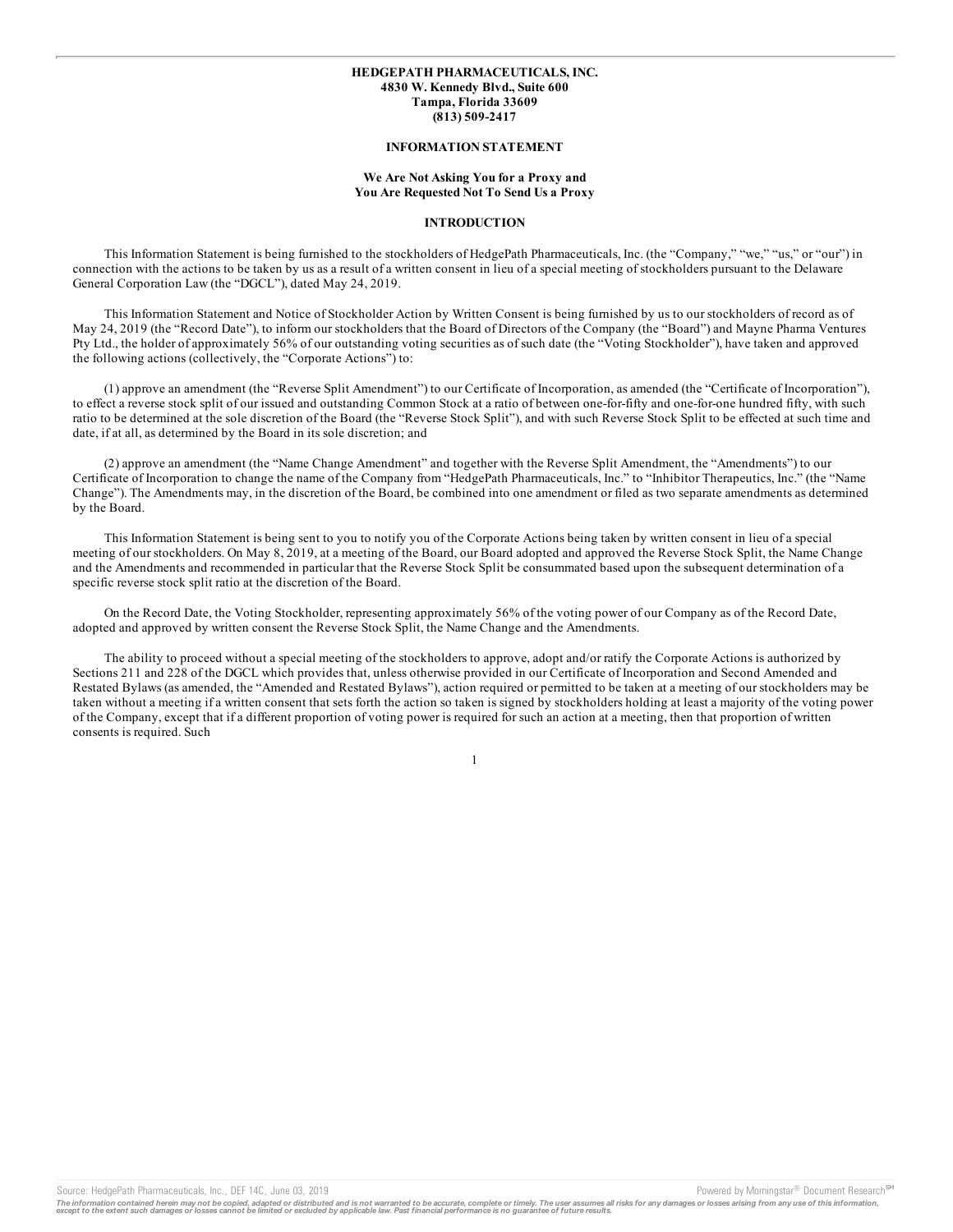#### **HEDGEPATH PHARMACEUTICALS, INC. 4830 W. Kennedy Blvd., Suite 600 Tampa, Florida 33609 (813) 509-2417**

#### **INFORMATION STATEMENT**

#### **We Are Not Asking You for a Proxy and You Are Requested Not To Send Us a Proxy**

#### **INTRODUCTION**

This Information Statement is being furnished to the stockholders of HedgePath Pharmaceuticals, Inc. (the "Company," "we," "us," or "our") in connection with the actions to be taken by us as a result of a written consent in lieu of a special meeting of stockholders pursuant to the Delaware General Corporation Law (the "DGCL"), dated May 24, 2019.

This Information Statement and Notice of Stockholder Action by Written Consent is being furnished by us to our stockholders of record as of May 24, 2019 (the "Record Date"), to inform our stockholders that the Board of Directors of the Company (the "Board") and Mayne Pharma Ventures Pty Ltd., the holder of approximately 56% of our outstanding voting securities as of such date (the "Voting Stockholder"), have taken and approved the following actions (collectively, the "Corporate Actions") to:

(1) approve an amendment (the "Reverse Split Amendment") to our Certificate of Incorporation, as amended (the "Certificate of Incorporation"), to effect a reverse stock split of our issued and outstanding Common Stock at a ratio of between one-for-fifty and one-for-one hundred fifty, with such ratio to be determined at the sole discretion of the Board (the "Reverse Stock Split"), and with such Reverse Stock Split to be effected at such time and date, if at all, as determined by the Board in its sole discretion; and

(2) approve an amendment (the "Name Change Amendment" and together with the Reverse Split Amendment, the "Amendments") to our Certificate of Incorporation to change the name of the Company from "HedgePath Pharmaceuticals, Inc." to "Inhibitor Therapeutics, Inc." (the "Name Change"). The Amendments may, in the discretion of the Board, be combined into one amendment or filed as two separate amendments as determined by the Board.

This Information Statement is being sent to you to notify you of the Corporate Actions being taken by written consent in lieu of a special meeting of our stockholders. On May 8, 2019, at a meeting of the Board, our Board adopted and approved the Reverse Stock Split, the Name Change and the Amendments and recommended in particular that the Reverse Stock Split be consummated based upon the subsequent determination of a specific reverse stock split ratio at the discretion of the Board.

On the Record Date, the Voting Stockholder, representing approximately 56% of the voting power of our Company as of the Record Date, adopted and approved by written consent the Reverse Stock Split, the Name Change and the Amendments.

The ability to proceed without a special meeting of the stockholders to approve, adopt and/or ratify the Corporate Actions is authorized by Sections 211 and 228 of the DGCL which provides that, unless otherwise provided in our Certificate of Incorporation and Second Amended and Restated Bylaws (as amended, the "Amended and Restated Bylaws"), action required or permitted to be taken at a meeting of our stockholders may be taken without a meeting if a written consent that sets forth the action so taken is signed by stockholders holding at least a majority of the voting power of the Company, except that if a different proportion of voting power is required for such an action at a meeting, then that proportion of written consents is required. Such

1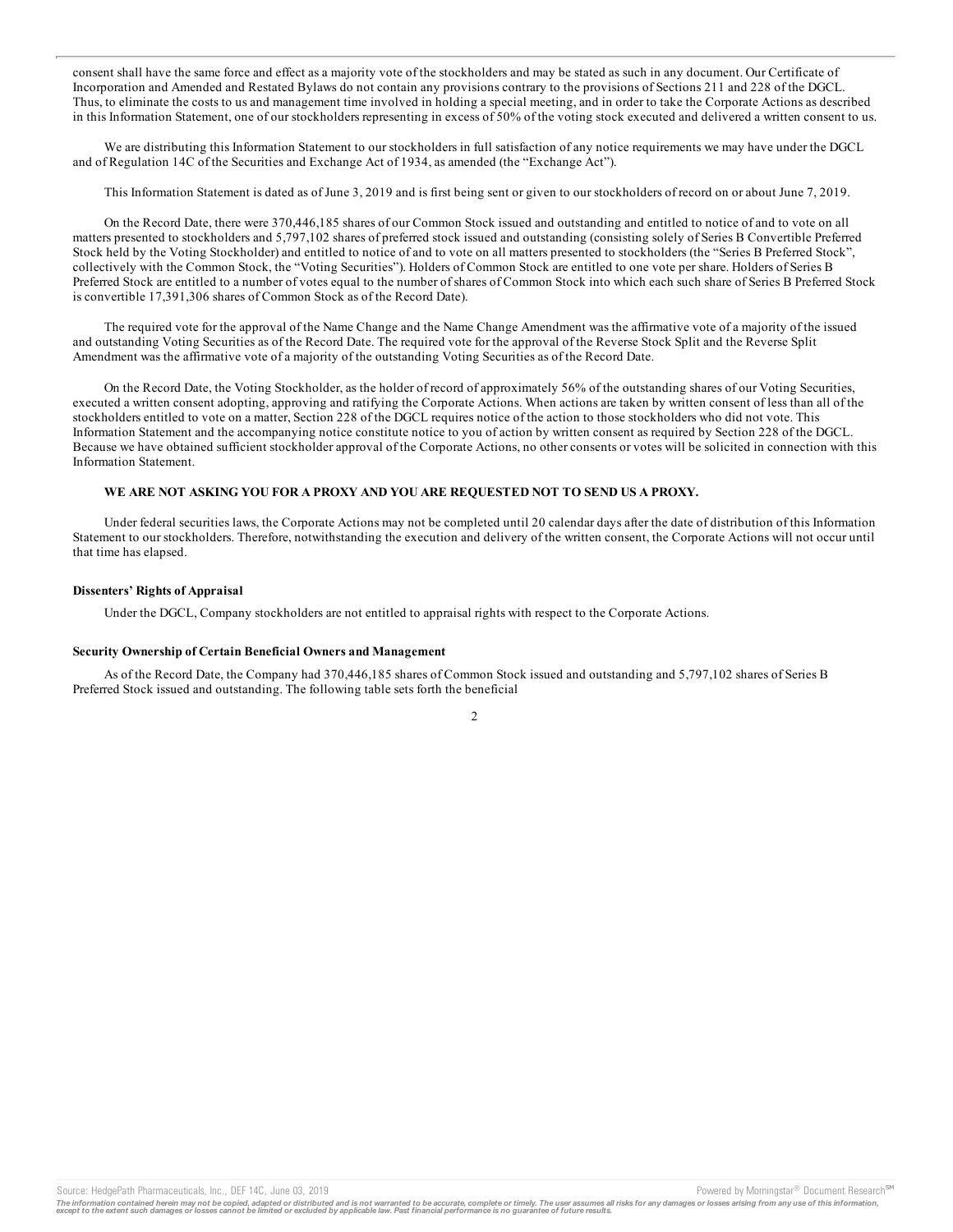consent shall have the same force and effect as a majority vote of the stockholders and may be stated as such in any document. Our Certificate of Incorporation and Amended and Restated Bylaws do not contain any provisions contrary to the provisions of Sections 211 and 228 of the DGCL. Thus, to eliminate the costs to us and management time involved in holding a special meeting, and in order to take the Corporate Actions as described in this Information Statement, one of our stockholders representing in excess of 50% of the voting stock executed and delivered a written consent to us.

We are distributing this Information Statement to our stockholders in full satisfaction of any notice requirements we may have under the DGCL and of Regulation 14C of the Securities and Exchange Act of 1934, as amended (the "Exchange Act").

This Information Statement is dated as of June 3, 2019 and is first being sent or given to our stockholders of record on or about June 7, 2019.

On the Record Date, there were 370,446,185 shares of our Common Stock issued and outstanding and entitled to notice of and to vote on all matters presented to stockholders and 5,797,102 shares of preferred stock issued and outstanding (consisting solely of Series B Convertible Preferred Stock held by the Voting Stockholder) and entitled to notice of and to vote on all matters presented to stockholders (the "Series B Preferred Stock", collectively with the Common Stock, the "Voting Securities"). Holders of Common Stock are entitled to one vote per share. Holders of Series B Preferred Stock are entitled to a number of votes equal to the number of shares of Common Stock into which each such share of Series B Preferred Stock is convertible 17,391,306 shares of Common Stock as of the Record Date).

The required vote for the approval of the Name Change and the Name Change Amendment was the affirmative vote of a majority of the issued and outstanding Voting Securities as of the Record Date. The required vote for the approval of the Reverse Stock Split and the Reverse Split Amendment was the affirmative vote of a majority of the outstanding Voting Securities as of the Record Date.

On the Record Date, the Voting Stockholder, as the holder of record of approximately 56% of the outstanding shares of our Voting Securities, executed a written consent adopting, approving and ratifying the Corporate Actions. When actions are taken by written consent of less than all of the stockholders entitled to vote on a matter, Section 228 of the DGCL requires notice of the action to those stockholders who did not vote. This Information Statement and the accompanying notice constitute notice to you of action by written consent as required by Section 228 of the DGCL. Because we have obtained sufficient stockholder approval of the Corporate Actions, no other consents or votes will be solicited in connection with this Information Statement.

#### **WE ARE NOT ASKING YOU FOR A PROXY AND YOU ARE REQUESTED NOT TO SEND US A PROXY.**

Under federal securities laws, the Corporate Actions may not be completed until 20 calendar days after the date of distribution of this Information Statement to our stockholders. Therefore, notwithstanding the execution and delivery of the written consent, the Corporate Actions will not occur until that time has elapsed.

#### **Dissenters' Rights of Appraisal**

Under the DGCL, Company stockholders are not entitled to appraisal rights with respect to the Corporate Actions.

#### **Security Ownership of Certain Beneficial Owners and Management**

As of the Record Date, the Company had 370,446,185 shares of Common Stock issued and outstanding and 5,797,102 shares of Series B Preferred Stock issued and outstanding. The following table sets forth the beneficial

2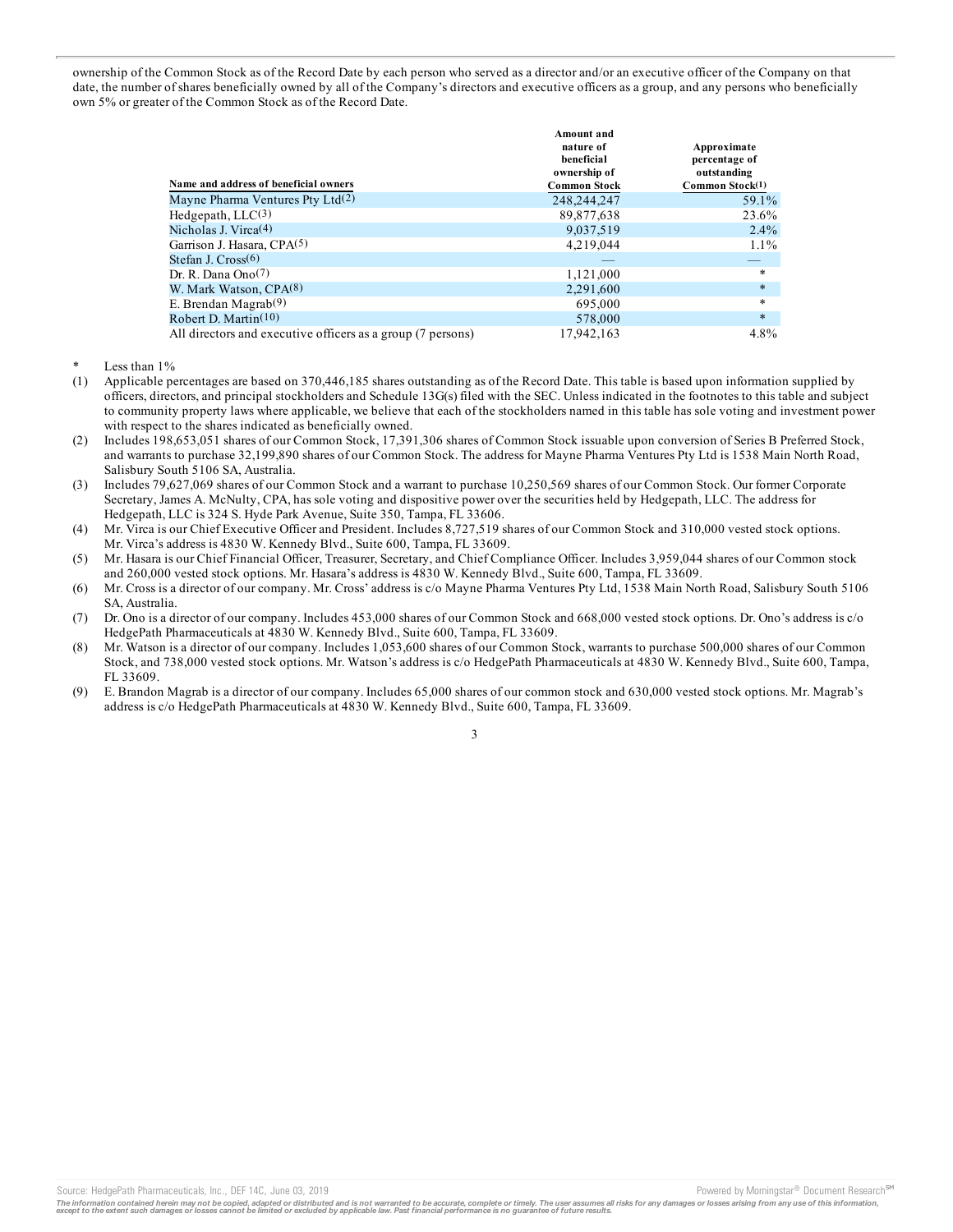ownership of the Common Stock as of the Record Date by each person who served as a director and/or an executive officer of the Company on that date, the number of shares beneficially owned by all of the Company's directors and executive officers as a group, and any persons who beneficially own 5% or greater of the Common Stock as of the Record Date.

| Name and address of beneficial owners                       | Amount and<br>nature of<br>beneficial<br>ownership of<br><b>Common Stock</b> | Approximate<br>percentage of<br>outstanding<br>Common Stock(1) |
|-------------------------------------------------------------|------------------------------------------------------------------------------|----------------------------------------------------------------|
| Mayne Pharma Ventures Pty Ltd(2)                            | 248,244,247                                                                  | 59.1%                                                          |
| Hedgepath, $LLC(3)$                                         | 89,877,638                                                                   | 23.6%                                                          |
| Nicholas J. Virca <sup>(4)</sup>                            | 9,037,519                                                                    | $2.4\%$                                                        |
| Garrison J. Hasara, CPA(5)                                  | 4,219,044                                                                    | $1.1\%$                                                        |
| Stefan J. Cross(6)                                          |                                                                              |                                                                |
| Dr. R. Dana Ono <sup>(7)</sup>                              | 1,121,000                                                                    | $\ast$                                                         |
| W. Mark Watson, CPA(8)                                      | 2,291,600                                                                    | $\ast$                                                         |
| E. Brendan Magrab <sup>(9)</sup>                            | 695,000                                                                      | $\star$                                                        |
| Robert D. Martin $(10)$                                     | 578,000                                                                      | $\ast$                                                         |
| All directors and executive officers as a group (7 persons) | 17,942,163                                                                   | $4.8\%$                                                        |

Less than  $1\%$ 

- (1) Applicable percentages are based on 370,446,185 shares outstanding as of the Record Date. This table is based upon information supplied by officers, directors, and principal stockholders and Schedule 13G(s) filed with the SEC. Unless indicated in the footnotes to this table and subject to community property laws where applicable, we believe that each of the stockholders named in this table has sole voting and investment power with respect to the shares indicated as beneficially owned.
- (2) Includes 198,653,051 shares of our Common Stock, 17,391,306 shares of Common Stock issuable upon conversion of Series B Preferred Stock, and warrants to purchase 32,199,890 shares of our Common Stock. The address for Mayne Pharma Ventures Pty Ltd is 1538 Main North Road, Salisbury South 5106 SA, Australia.
- (3) Includes 79,627,069 shares of our Common Stock and a warrant to purchase 10,250,569 shares of our Common Stock. Our former Corporate Secretary, James A. McNulty, CPA, has sole voting and dispositive power over the securities held by Hedgepath, LLC. The address for Hedgepath, LLC is 324 S. Hyde Park Avenue, Suite 350, Tampa, FL 33606.
- (4) Mr. Virca is our Chief Executive Officer and President. Includes 8,727,519 shares of our Common Stock and 310,000 vested stock options. Mr. Virca's address is 4830 W. Kennedy Blvd., Suite 600, Tampa, FL 33609.
- (5) Mr. Hasara is our Chief Financial Officer, Treasurer, Secretary, and Chief Compliance Officer. Includes 3,959,044 shares of our Common stock and 260,000 vested stock options. Mr. Hasara's address is 4830 W. Kennedy Blvd., Suite 600, Tampa, FL 33609.
- (6) Mr. Cross is a director of our company. Mr. Cross' address is c/o Mayne Pharma Ventures Pty Ltd, 1538 Main North Road, Salisbury South 5106 SA, Australia.
- (7) Dr. Ono is a director of our company. Includes 453,000 shares of our Common Stock and 668,000 vested stock options. Dr. Ono's address is c/o HedgePath Pharmaceuticals at 4830 W. Kennedy Blvd., Suite 600, Tampa, FL 33609.
- (8) Mr. Watson is a director of our company. Includes 1,053,600 shares of our Common Stock, warrants to purchase 500,000 shares of our Common Stock, and 738,000 vested stock options. Mr. Watson's address is c/o HedgePath Pharmaceuticals at 4830 W. Kennedy Blvd., Suite 600, Tampa, FL 33609.
- (9) E. Brandon Magrab is a director of our company. Includes 65,000 shares of our common stock and 630,000 vested stock options. Mr. Magrab's address is c/o HedgePath Pharmaceuticals at 4830 W. Kennedy Blvd., Suite 600, Tampa, FL 33609.

The information contained herein may not be copied, adapted or distributed and is not warranted to be accurate, complete or timely. The user assumes all risks for any damages or losses arising from any use of this informat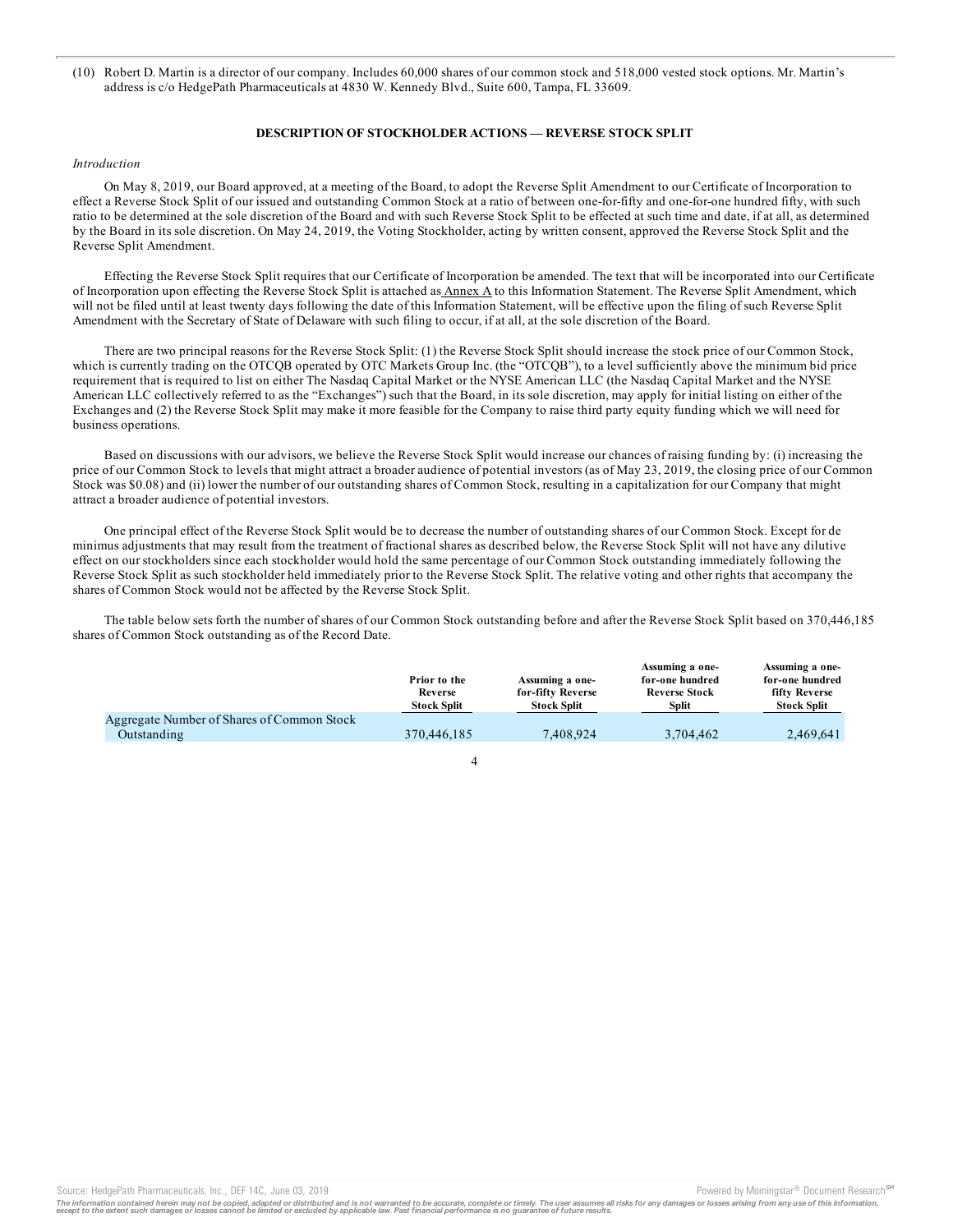(10) Robert D. Martin is a director of our company. Includes 60,000 shares of our common stock and 518,000 vested stock options. Mr. Martin's address is c/o HedgePath Pharmaceuticals at 4830 W. Kennedy Blvd., Suite 600, Tampa, FL 33609.

#### **DESCRIPTION OF STOCKHOLDER ACTIONS — REVERSE STOCK SPLIT**

#### *Introduction*

On May 8, 2019, our Board approved, at a meeting of the Board, to adopt the Reverse Split Amendment to our Certificate of Incorporation to effect a Reverse Stock Split of our issued and outstanding Common Stock at a ratio of between one-for-fifty and one-for-one hundred fifty, with such ratio to be determined at the sole discretion of the Board and with such Reverse Stock Split to be effected at such time and date, if at all, as determined by the Board in its sole discretion. On May 24, 2019, the Voting Stockholder, acting by written consent, approved the Reverse Stock Split and the Reverse Split Amendment.

Effecting the Reverse Stock Split requires that our Certificate of Incorporation be amended. The text that will be incorporated into our Certificate of Incorporation upon effecting the Reverse Stock Split is attached as Annex A to this Information Statement. The Reverse Split Amendment, which will not be filed until at least twenty days following the date of this Information Statement, will be effective upon the filing of such Reverse Split Amendment with the Secretary of State of Delaware with such filing to occur, if at all, at the sole discretion of the Board.

There are two principal reasons for the Reverse Stock Split: (1) the Reverse Stock Split should increase the stock price of our Common Stock, which is currently trading on the OTCOB operated by OTC Markets Group Inc. (the "OTCOB"), to a level sufficiently above the minimum bid price requirement that is required to list on either The Nasdaq Capital Market or the NYSE American LLC (the Nasdaq Capital Market and the NYSE American LLC collectively referred to as the "Exchanges") such that the Board, in its sole discretion, may apply for initial listing on either of the Exchanges and (2) the Reverse Stock Split may make it more feasible for the Company to raise third party equity funding which we will need for business operations.

Based on discussions with our advisors, we believe the Reverse Stock Split would increase our chances of raising funding by: (i) increasing the price of our Common Stock to levels that might attract a broader audience of potential investors (as of May 23, 2019, the closing price of our Common Stock was \$0.08) and (ii) lower the number of our outstanding shares of Common Stock, resulting in a capitalization for our Company that might attract a broader audience of potential investors.

One principal effect of the Reverse Stock Split would be to decrease the number of outstanding shares of our Common Stock. Except for de minimus adjustments that may result from the treatment of fractional shares as described below, the Reverse Stock Split will not have any dilutive effect on our stockholders since each stockholder would hold the same percentage of our Common Stock outstanding immediately following the Reverse Stock Split as such stockholder held immediately prior to the Reverse Stock Split. The relative voting and other rights that accompany the shares of Common Stock would not be affected by the Reverse Stock Split.

The table below sets forth the number of shares of our Common Stock outstanding before and after the Reverse Stock Split based on 370,446,185 shares of Common Stock outstanding as of the Record Date.

|                                            | Prior to the<br>Reverse<br><b>Stock Split</b> | Assuming a one-<br>for-fifty Reverse<br><b>Stock Split</b> | Assuming a one-<br>for-one hundred<br><b>Reverse Stock</b><br>Split | Assuming a one-<br>for-one hundred<br>fifty Reverse<br><b>Stock Split</b> |
|--------------------------------------------|-----------------------------------------------|------------------------------------------------------------|---------------------------------------------------------------------|---------------------------------------------------------------------------|
| Aggregate Number of Shares of Common Stock |                                               |                                                            |                                                                     |                                                                           |
| Outstanding                                | 370,446,185                                   | 7.408.924                                                  | 3.704.462                                                           | 2.469.641                                                                 |
|                                            |                                               |                                                            |                                                                     |                                                                           |



Source: HedgePath Pharmaceuticals, Inc., DEF 14C, June 03, 2019 **Proversion Control and Armoringstar** Powered by Morningstar<sup>®</sup> Document Research <sup>em</sup>

The information contained herein may not be copied, adapted or distributed and is not warranted to be accurate, complete or timely. The user assumes all risks for any damages or losses arising from any use of this informat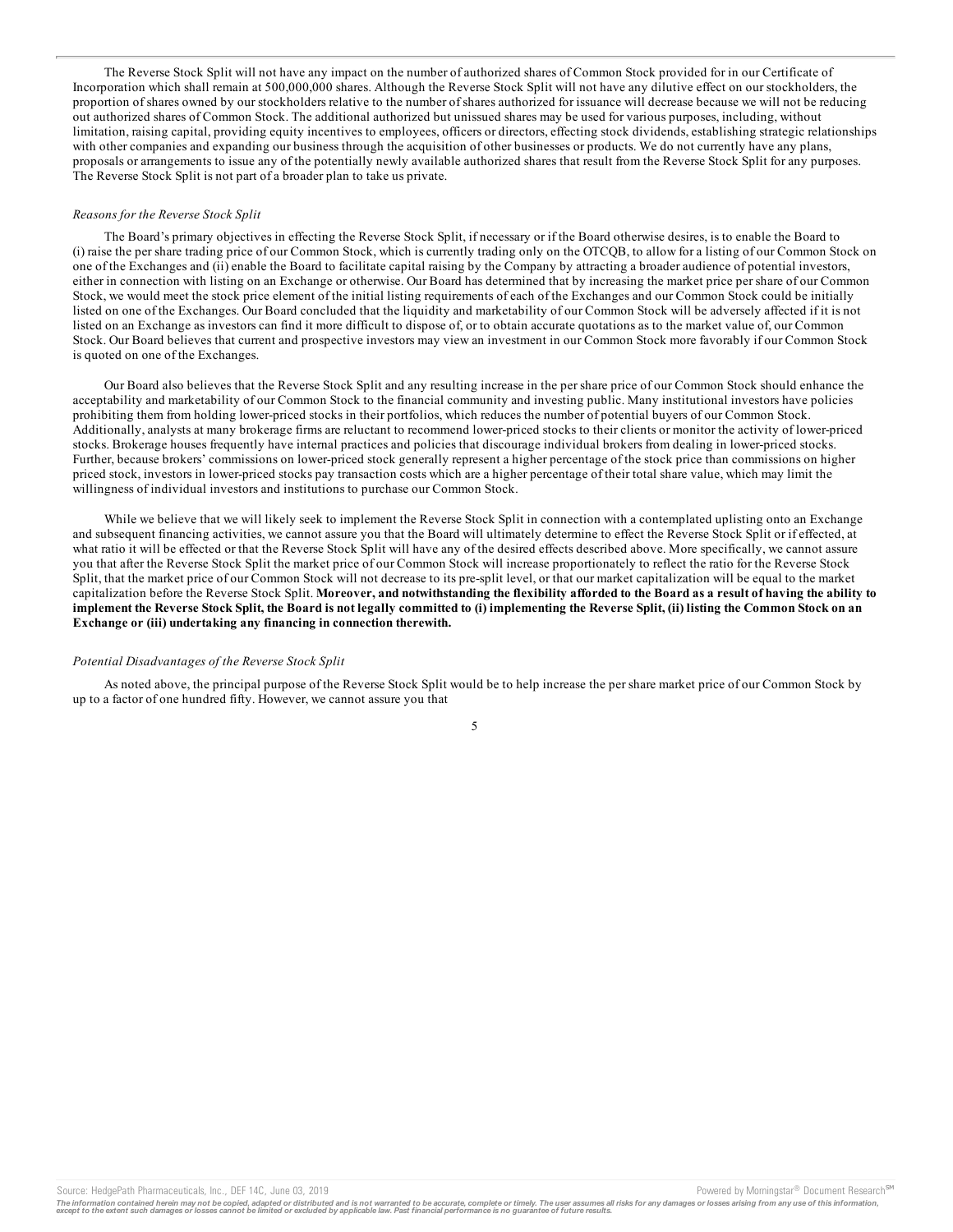The Reverse Stock Split will not have any impact on the number of authorized shares of Common Stock provided for in our Certificate of Incorporation which shall remain at 500,000,000 shares. Although the Reverse Stock Split will not have any dilutive effect on our stockholders, the proportion of shares owned by our stockholders relative to the number of shares authorized for issuance will decrease because we will not be reducing out authorized shares of Common Stock. The additional authorized but unissued shares may be used for various purposes, including, without limitation, raising capital, providing equity incentives to employees, officers or directors, effecting stock dividends, establishing strategic relationships with other companies and expanding our business through the acquisition of other businesses or products. We do not currently have any plans, proposals or arrangements to issue any of the potentially newly available authorized shares that result from the Reverse Stock Split for any purposes. The Reverse Stock Split is not part of a broader plan to take us private.

#### *Reasons for the Reverse Stock Split*

The Board's primary objectives in effecting the Reverse Stock Split, if necessary or if the Board otherwise desires, is to enable the Board to (i) raise the per share trading price of our Common Stock, which is currently trading only on the OTCQB, to allow for a listing of our Common Stock on one of the Exchanges and (ii) enable the Board to facilitate capital raising by the Company by attracting a broader audience of potential investors, either in connection with listing on an Exchange or otherwise. Our Board has determined that by increasing the market price per share of our Common Stock, we would meet the stock price element of the initial listing requirements of each of the Exchanges and our Common Stock could be initially listed on one of the Exchanges. Our Board concluded that the liquidity and marketability of our Common Stock will be adversely affected if it is not listed on an Exchange as investors can find it more difficult to dispose of, or to obtain accurate quotations as to the market value of, our Common Stock. Our Board believes that current and prospective investors may view an investment in our Common Stock more favorably if our Common Stock is quoted on one of the Exchanges.

Our Board also believes that the Reverse Stock Split and any resulting increase in the per share price of our Common Stock should enhance the acceptability and marketability of our Common Stock to the financial community and investing public. Many institutional investors have policies prohibiting them from holding lower-priced stocks in their portfolios, which reduces the number of potential buyers of our Common Stock. Additionally, analysts at many brokerage firms are reluctant to recommend lower-priced stocks to their clients or monitor the activity of lower-priced stocks. Brokerage houses frequently have internal practices and policies that discourage individual brokers from dealing in lower-priced stocks. Further, because brokers' commissions on lower-priced stock generally represent a higher percentage of the stock price than commissions on higher priced stock, investors in lower-priced stocks pay transaction costs which are a higher percentage of their total share value, which may limit the willingness of individual investors and institutions to purchase our Common Stock.

While we believe that we will likely seek to implement the Reverse Stock Split in connection with a contemplated uplisting onto an Exchange and subsequent financing activities, we cannot assure you that the Board will ultimately determine to effect the Reverse Stock Split or if effected, at what ratio it will be effected or that the Reverse Stock Split will have any of the desired effects described above. More specifically, we cannot assure you that after the Reverse Stock Split the market price of our Common Stock will increase proportionately to reflect the ratio for the Reverse Stock Split, that the market price of our Common Stock will not decrease to its pre-split level, or that our market capitalization will be equal to the market capitalization before the Reverse Stock Split. Moreover, and notwithstanding the flexibility afforded to the Board as a result of having the ability to implement the Reverse Stock Split, the Board is not legally committed to (i) implementing the Reverse Split, (ii) listing the Common Stock on an **Exchange or (iii) undertaking any financing in connection therewith.**

#### *Potential Disadvantages of the Reverse Stock Split*

As noted above, the principal purpose of the Reverse Stock Split would be to help increase the per share market price of our Common Stock by up to a factor of one hundred fifty. However, we cannot assure you that

The information contained herein may not be copied, adapted or distributed and is not warranted to be accurate, complete or timely. The user assumes all risks for any damages or losses arising from any use of this informat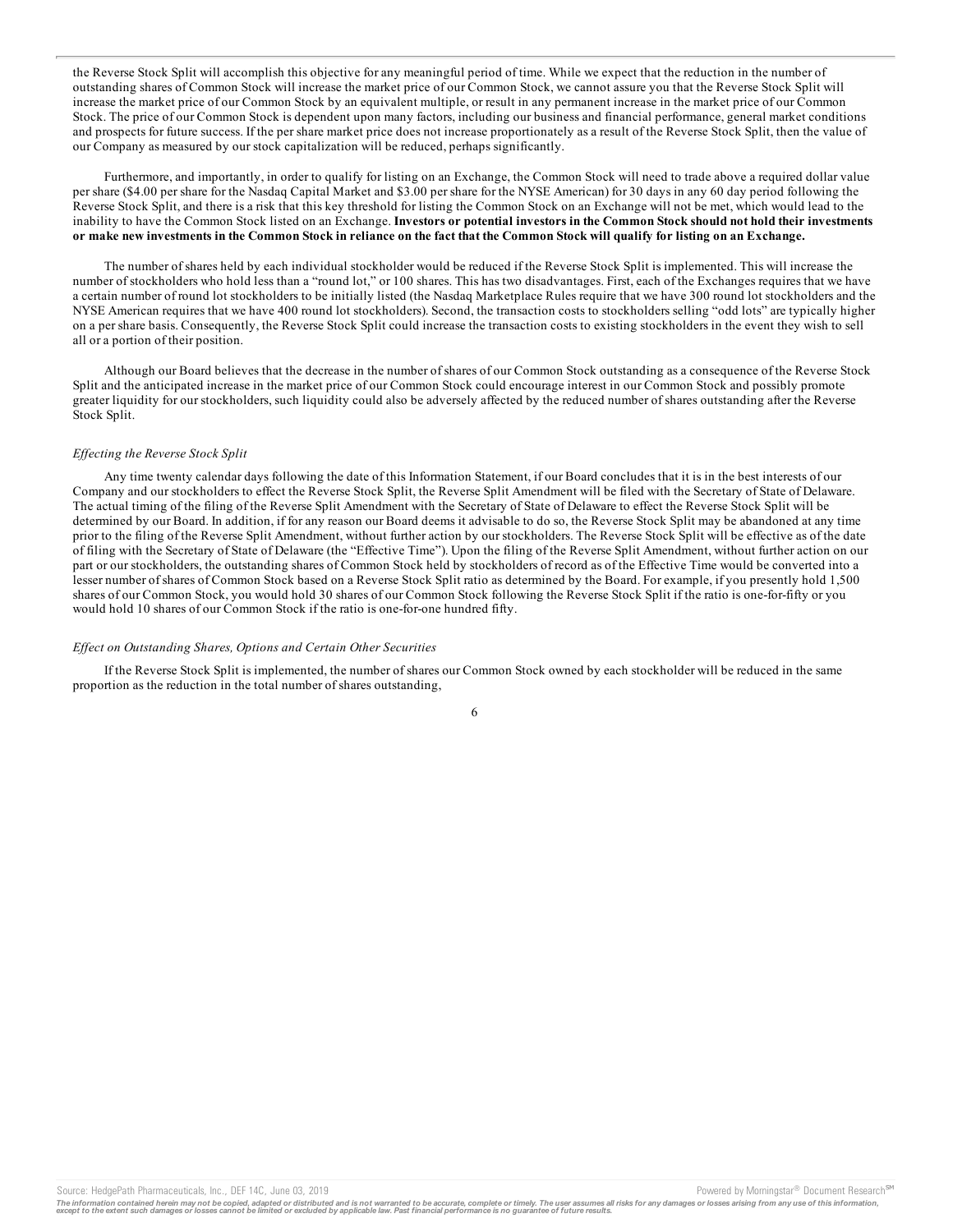the Reverse Stock Split will accomplish this objective for any meaningful period of time. While we expect that the reduction in the number of outstanding shares of Common Stock will increase the market price of our Common Stock, we cannot assure you that the Reverse Stock Split will increase the market price of our Common Stock by an equivalent multiple, or result in any permanent increase in the market price of our Common Stock. The price of our Common Stock is dependent upon many factors, including our business and financial performance, general market conditions and prospects for future success. If the per share market price does not increase proportionately as a result of the Reverse Stock Split, then the value of our Company as measured by our stock capitalization will be reduced, perhaps significantly.

Furthermore, and importantly, in order to qualify for listing on an Exchange, the Common Stock will need to trade above a required dollar value per share (\$4.00 per share for the Nasdaq Capital Market and \$3.00 per share for the NYSE American) for 30 days in any 60 day period following the Reverse Stock Split, and there is a risk that this key threshold for listing the Common Stock on an Exchange will not be met, which would lead to the inability to have the Common Stock listed on an Exchange. Investors or potential investors in the Common Stock should not hold their investments or make new investments in the Common Stock in reliance on the fact that the Common Stock will qualify for listing on an Exchange.

The number of shares held by each individual stockholder would be reduced if the Reverse Stock Split is implemented. This will increase the number of stockholders who hold less than a "round lot," or 100 shares. This has two disadvantages. First, each of the Exchanges requires that we have a certain number of round lot stockholders to be initially listed (the Nasdaq Marketplace Rules require that we have 300 round lot stockholders and the NYSE American requires that we have 400 round lot stockholders). Second, the transaction costs to stockholders selling "odd lots" are typically higher on a per share basis. Consequently, the Reverse Stock Split could increase the transaction costs to existing stockholders in the event they wish to sell all or a portion of their position.

Although our Board believes that the decrease in the number of shares of our Common Stock outstanding as a consequence of the Reverse Stock Split and the anticipated increase in the market price of our Common Stock could encourage interest in our Common Stock and possibly promote greater liquidity for our stockholders, such liquidity could also be adversely affected by the reduced number of shares outstanding after the Reverse Stock Split.

#### *Ef ecting the Reverse Stock Split*

Any time twenty calendar days following the date of this Information Statement, if our Board concludes that it is in the best interests of our Company and our stockholders to effect the Reverse Stock Split, the Reverse Split Amendment will be filed with the Secretary of State of Delaware. The actual timing of the filing of the Reverse Split Amendment with the Secretary of State of Delaware to effect the Reverse Stock Split will be determined by our Board. In addition, if for any reason our Board deems it advisable to do so, the Reverse Stock Split may be abandoned at any time prior to the filing of the Reverse Split Amendment, without further action by our stockholders. The Reverse Stock Split will be effective as of the date of filing with the Secretary of State of Delaware (the "Effective Time"). Upon the filing of the Reverse Split Amendment, without further action on our part or our stockholders, the outstanding shares of Common Stock held by stockholders of record as of the Effective Time would be converted into a lesser number of shares of Common Stock based on a Reverse Stock Split ratio as determined by the Board. For example, if you presently hold 1,500 shares of our Common Stock, you would hold 30 shares of our Common Stock following the Reverse Stock Split if the ratio is one-for-fifty or you would hold 10 shares of our Common Stock if the ratio is one-for-one hundred fifty.

#### *Ef ect on Outstanding Shares, Options and Certain Other Securities*

If the Reverse Stock Split is implemented, the number of shares our Common Stock owned by each stockholder will be reduced in the same proportion as the reduction in the total number of shares outstanding,

The information contained herein may not be copied, adapted or distributed and is not warranted to be accurate, complete or timely. The user assumes all risks for any damages or losses arising from any use of this informat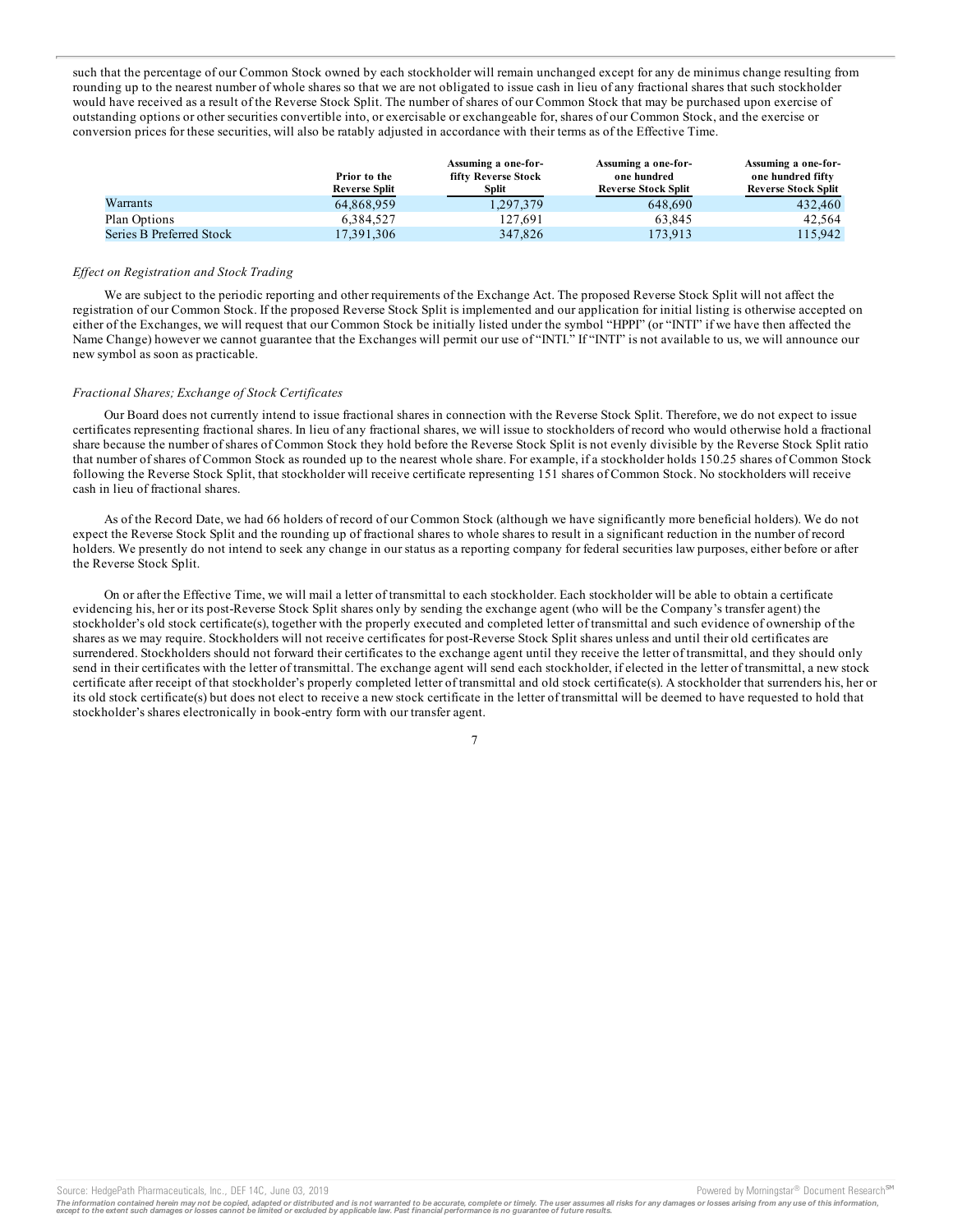such that the percentage of our Common Stock owned by each stockholder will remain unchanged except for any de minimus change resulting from rounding up to the nearest number of whole shares so that we are not obligated to issue cash in lieu of any fractional shares that such stockholder would have received as a result of the Reverse Stock Split. The number of shares of our Common Stock that may be purchased upon exercise of outstanding options or other securities convertible into, or exercisable or exchangeable for, shares of our Common Stock, and the exercise or conversion prices for these securities, will also be ratably adjusted in accordance with their terms as of the Effective Time.

|                          | Prior to the<br><b>Reverse Split</b> | Assuming a one-for-<br>fifty Reverse Stock<br>Split | Assuming a one-for-<br>one hundred<br><b>Reverse Stock Split</b> | Assuming a one-for-<br>one hundred fifty<br><b>Reverse Stock Split</b> |
|--------------------------|--------------------------------------|-----------------------------------------------------|------------------------------------------------------------------|------------------------------------------------------------------------|
| Warrants                 | 64.868.959                           | .297.379                                            | 648,690                                                          | 432,460                                                                |
| Plan Options             | 6.384.527                            | 127.691                                             | 63.845                                                           | 42.564                                                                 |
| Series B Preferred Stock | 17,391,306                           | 347,826                                             | 173.913                                                          | 15.942                                                                 |

#### *Ef ect on Registration and Stock Trading*

We are subject to the periodic reporting and other requirements of the Exchange Act. The proposed Reverse Stock Split will not affect the registration of our Common Stock. If the proposed Reverse Stock Split is implemented and our application for initial listing is otherwise accepted on either of the Exchanges, we will request that our Common Stock be initially listed under the symbol "HPPI" (or "INTI" if we have then affected the Name Change) however we cannot guarantee that the Exchanges will permit our use of "NTI." If "INTI" is not available to us, we will announce our new symbol as soon as practicable.

#### *Fractional Shares; Exchange of Stock Certificates*

Our Board does not currently intend to issue fractional shares in connection with the Reverse Stock Split. Therefore, we do not expect to issue certificates representing fractional shares. In lieu of any fractional shares, we will issue to stockholders of record who would otherwise hold a fractional share because the number of shares of Common Stock they hold before the Reverse Stock Split is not evenly divisible by the Reverse Stock Split ratio that number of shares of Common Stock as rounded up to the nearest whole share. For example, if a stockholder holds 150.25 shares of Common Stock following the Reverse Stock Split, that stockholder will receive certificate representing 151 shares of Common Stock. No stockholders will receive cash in lieu of fractional shares.

As of the Record Date, we had 66 holders of record of our Common Stock (although we have significantly more beneficial holders). We do not expect the Reverse Stock Split and the rounding up of fractional shares to whole shares to result in a significant reduction in the number of record holders. We presently do not intend to seek any change in our status as a reporting company for federal securities law purposes, either before or after the Reverse Stock Split.

On or after the Effective Time, we will mail a letter of transmittal to each stockholder. Each stockholder will be able to obtain a certificate evidencing his, her or its post-Reverse Stock Split shares only by sending the exchange agent (who will be the Company's transfer agent) the stockholder's old stock certificate(s), together with the properly executed and completed letter of transmittal and such evidence of ownership of the shares as we may require. Stockholders will not receive certificates for post-Reverse Stock Split shares unless and until their old certificates are surrendered. Stockholders should not forward their certificates to the exchange agent until they receive the letter of transmittal, and they should only send in their certificates with the letter of transmittal. The exchange agent will send each stockholder, if elected in the letter of transmittal, a new stock certificate after receipt of that stockholder's properly completed letter of transmittal and old stock certificate(s). A stockholder that surrenders his, her or its old stock certificate(s) but does not elect to receive a new stock certificate in the letter of transmittal will be deemed to have requested to hold that stockholder's shares electronically in book-entry form with our transfer agent.

The information contained herein may not be copied, adapted or distributed and is not warranted to be accurate, complete or timely. The user assumes all risks for any damages or losses arising from any use of this informat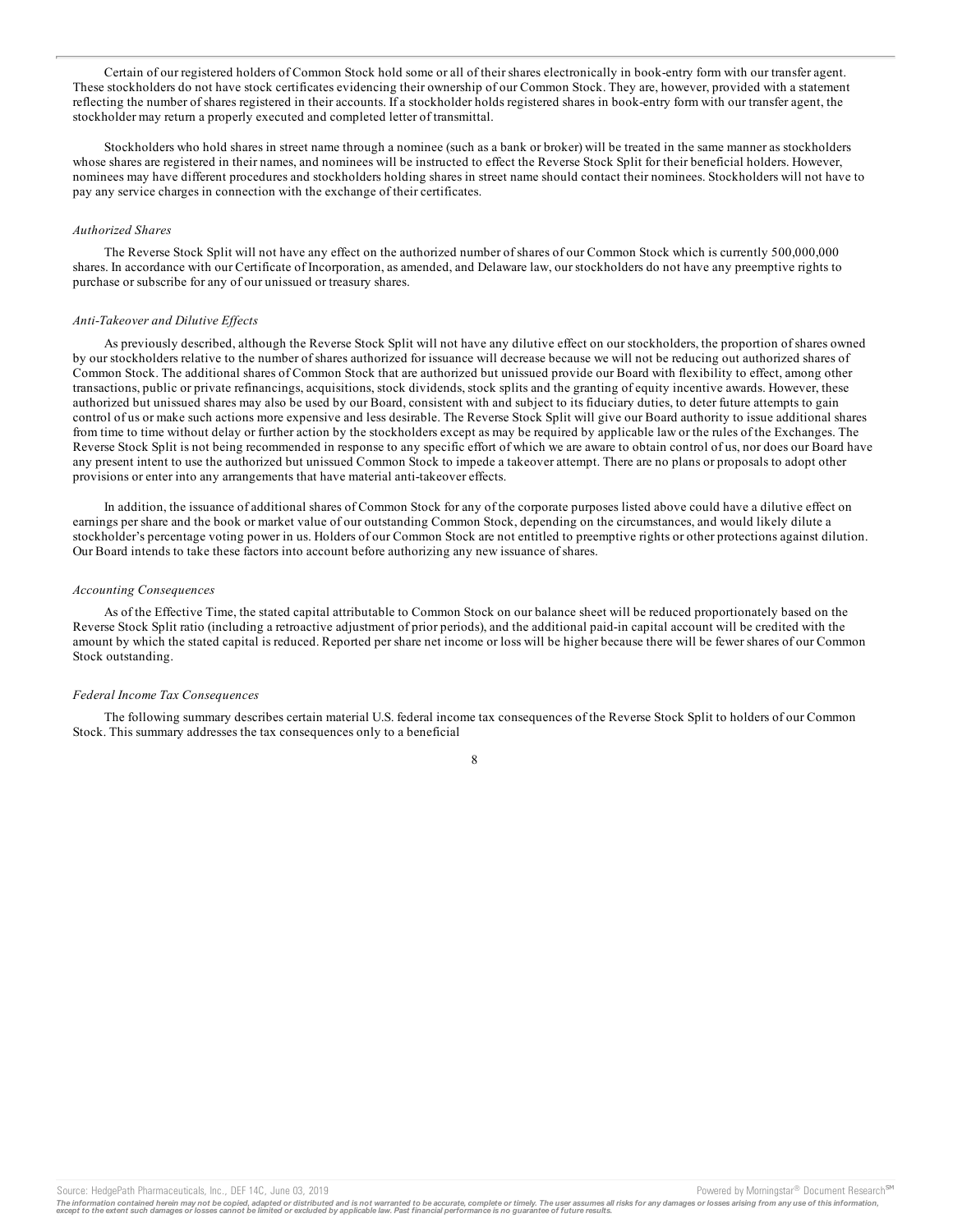Certain of our registered holders of Common Stock hold some or all of their shares electronically in book-entry form with our transfer agent. These stockholders do not have stock certificates evidencing their ownership of our Common Stock. They are, however, provided with a statement reflecting the number of shares registered in their accounts. If a stockholder holds registered shares in book-entry form with our transfer agent, the stockholder may return a properly executed and completed letter of transmittal.

Stockholders who hold shares in street name through a nominee (such as a bank or broker) will be treated in the same manner as stockholders whose shares are registered in their names, and nominees will be instructed to effect the Reverse Stock Split for their beneficial holders. However, nominees may have different procedures and stockholders holding shares in street name should contact their nominees. Stockholders will not have to pay any service charges in connection with the exchange of their certificates.

#### *Authorized Shares*

The Reverse Stock Split will not have any effect on the authorized number of shares of our Common Stock which is currently 500,000,000 shares. In accordance with our Certificate of Incorporation, as amended, and Delaware law, our stockholders do not have any preemptive rights to purchase or subscribe for any of our unissued or treasury shares.

#### *Anti-Takeover and Dilutive Ef ects*

As previously described, although the Reverse Stock Split will not have any dilutive effect on our stockholders, the proportion of shares owned by our stockholders relative to the number of shares authorized for issuance will decrease because we will not be reducing out authorized shares of Common Stock. The additional shares of Common Stock that are authorized but unissued provide our Board with flexibility to effect, among other transactions, public or private refinancings, acquisitions, stock dividends, stock splits and the granting of equity incentive awards. However, these authorized but unissued shares may also be used by our Board, consistent with and subject to its fiduciary duties, to deter future attempts to gain control of us or make such actions more expensive and less desirable. The Reverse Stock Split will give our Board authority to issue additional shares from time to time without delay or further action by the stockholders except as may be required by applicable law or the rules of the Exchanges. The Reverse Stock Split is not being recommended in response to any specific effort of which we are aware to obtain control of us, nor does our Board have any present intent to use the authorized but unissued Common Stock to impede a takeover attempt. There are no plans or proposals to adopt other provisions or enter into any arrangements that have material anti-takeover effects.

In addition, the issuance of additional shares of Common Stock for any of the corporate purposes listed above could have a dilutive effect on earnings per share and the book or market value of our outstanding Common Stock, depending on the circumstances, and would likely dilute a stockholder's percentage voting power in us. Holders of our Common Stock are not entitled to preemptive rights or other protections against dilution. Our Board intends to take these factors into account before authorizing any new issuance of shares.

#### *Accounting Consequences*

As of the Effective Time, the stated capital attributable to Common Stock on our balance sheet will be reduced proportionately based on the Reverse Stock Split ratio (including a retroactive adjustment of prior periods), and the additional paid-in capital account will be credited with the amount by which the stated capital is reduced. Reported per share net income or loss will be higher because there will be fewer shares of our Common Stock outstanding.

#### *Federal Income Tax Consequences*

The following summary describes certain material U.S. federal income tax consequences of the Reverse Stock Split to holders of our Common Stock. This summary addresses the tax consequences only to a beneficial

8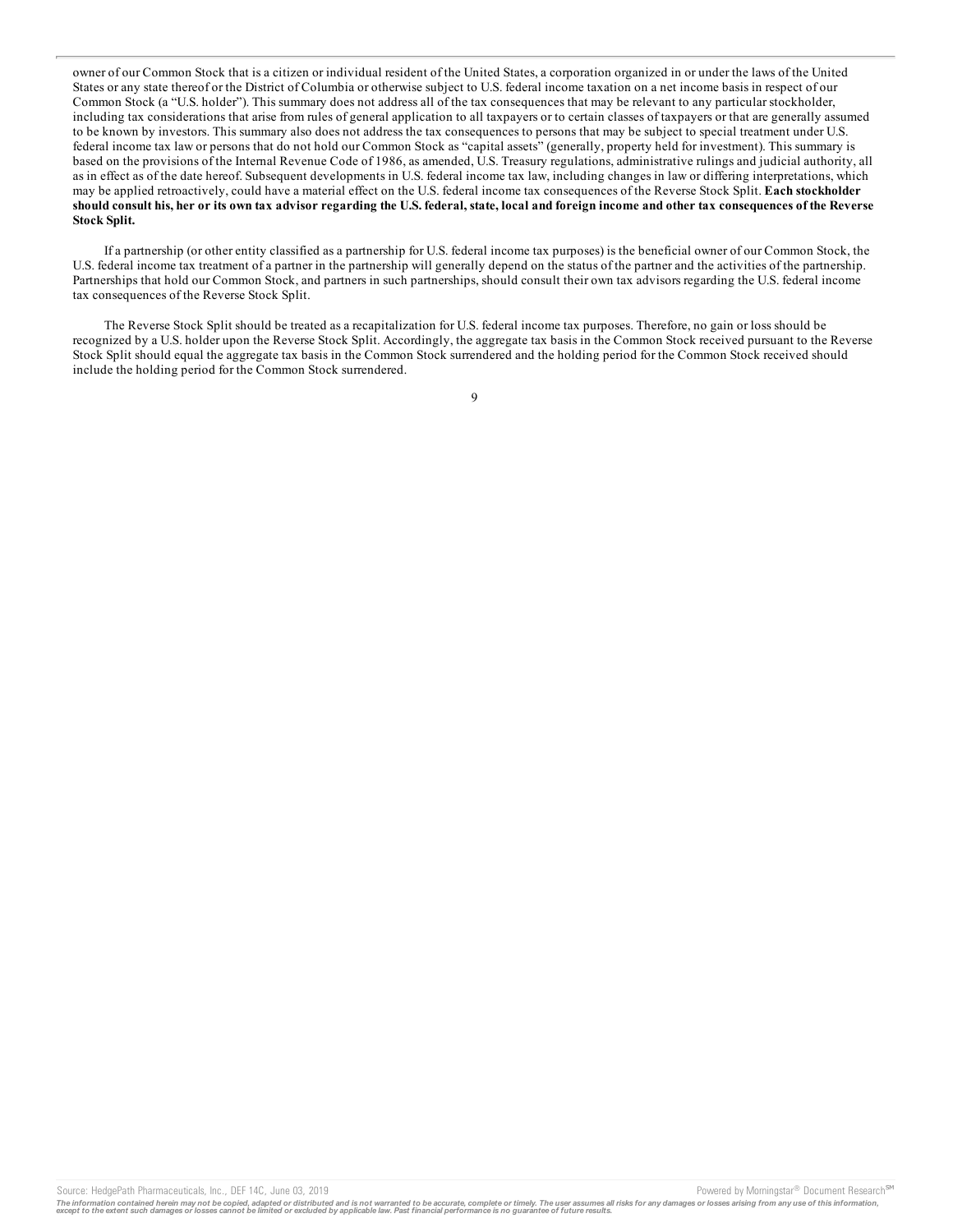owner of our Common Stock that is a citizen or individual resident of the United States, a corporation organized in or under the laws of the United States or any state thereof or the District of Columbia or otherwise subject to U.S. federal income taxation on a net income basis in respect of our Common Stock (a "U.S. holder"). This summary does not address all of the tax consequences that may be relevant to any particular stockholder, including tax considerations that arise from rules of general application to all taxpayers or to certain classes of taxpayers or that are generally assumed to be known by investors. This summary also does not address the tax consequences to persons that may be subject to special treatment under U.S. federal income tax law or persons that do not hold our Common Stock as "capital assets" (generally, property held for investment). This summary is based on the provisions of the Internal Revenue Code of 1986, as amended, U.S. Treasury regulations, administrative rulings and judicial authority, all as in effect as of the date hereof. Subsequent developments in U.S. federal income tax law, including changes in law or differing interpretations, which may be applied retroactively, could have a material effect on the U.S. federal income tax consequences of the Reverse Stock Split. **Each stockholder** should consult his, her or its own tax advisor regarding the U.S. federal, state, local and foreign income and other tax consequences of the Reverse **Stock Split.**

If a partnership (or other entity classified as a partnership for U.S. federal income tax purposes) is the beneficial owner of our Common Stock, the U.S. federal income tax treatment of a partner in the partnership will generally depend on the status of the partner and the activities of the partnership. Partnerships that hold our Common Stock, and partners in such partnerships, should consult their own tax advisors regarding the U.S. federal income tax consequences of the Reverse Stock Split.

The Reverse Stock Split should be treated as a recapitalization for U.S. federal income tax purposes. Therefore, no gain or loss should be recognized by a U.S. holder upon the Reverse Stock Split. Accordingly, the aggregate tax basis in the Common Stock received pursuant to the Reverse Stock Split should equal the aggregate tax basis in the Common Stock surrendered and the holding period for the Common Stock received should include the holding period for the Common Stock surrendered.

#### 9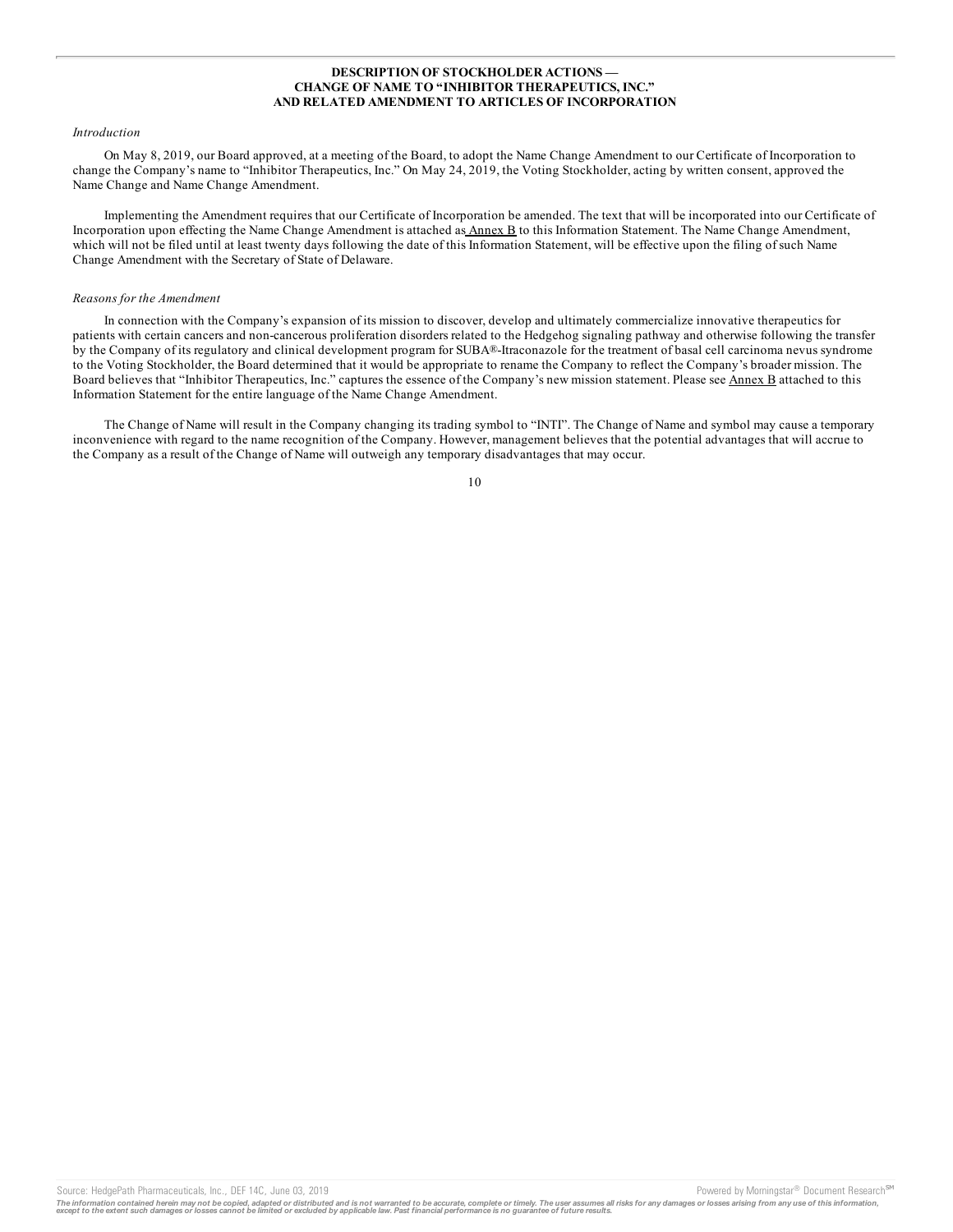#### **DESCRIPTION OF STOCKHOLDER ACTIONS — CHANGE OF NAME TO "INHIBITOR THERAPEUTICS, INC." AND RELATED AMENDMENT TO ARTICLES OF INCORPORATION**

#### *Introduction*

On May 8, 2019, our Board approved, at a meeting of the Board, to adopt the Name Change Amendment to our Certificate of Incorporation to change the Company's name to "Inhibitor Therapeutics, Inc." On May 24, 2019, the Voting Stockholder, acting by written consent, approved the Name Change and Name Change Amendment.

Implementing the Amendment requires that our Certificate of Incorporation be amended. The text that will be incorporated into our Certificate of Incorporation upon effecting the Name Change Amendment is attached as Annex B to this Information Statement. The Name Change Amendment, which will not be filed until at least twenty days following the date of this Information Statement, will be effective upon the filing of such Name Change Amendment with the Secretary of State of Delaware.

#### *Reasons for the Amendment*

In connection with the Company's expansion of its mission to discover, develop and ultimately commercialize innovative therapeutics for patients with certain cancers and non-cancerous proliferation disorders related to the Hedgehog signaling pathway and otherwise following the transfer by the Company of its regulatory and clinical development program for SUBA®-Itraconazole for the treatment of basal cell carcinoma nevus syndrome to the Voting Stockholder, the Board determined that it would be appropriate to rename the Company to reflect the Company's broader mission. The Board believes that "Inhibitor Therapeutics, Inc." captures the essence of the Company's new mission statement. Please see Annex B attached to this Information Statement for the entire language of the Name Change Amendment.

The Change of Name will result in the Company changing its trading symbol to "INTI". The Change of Name and symbol may cause a temporary inconvenience with regard to the name recognition of the Company. However, management believes that the potential advantages that will accrue to the Company as a result of the Change of Name will outweigh any temporary disadvantages that may occur.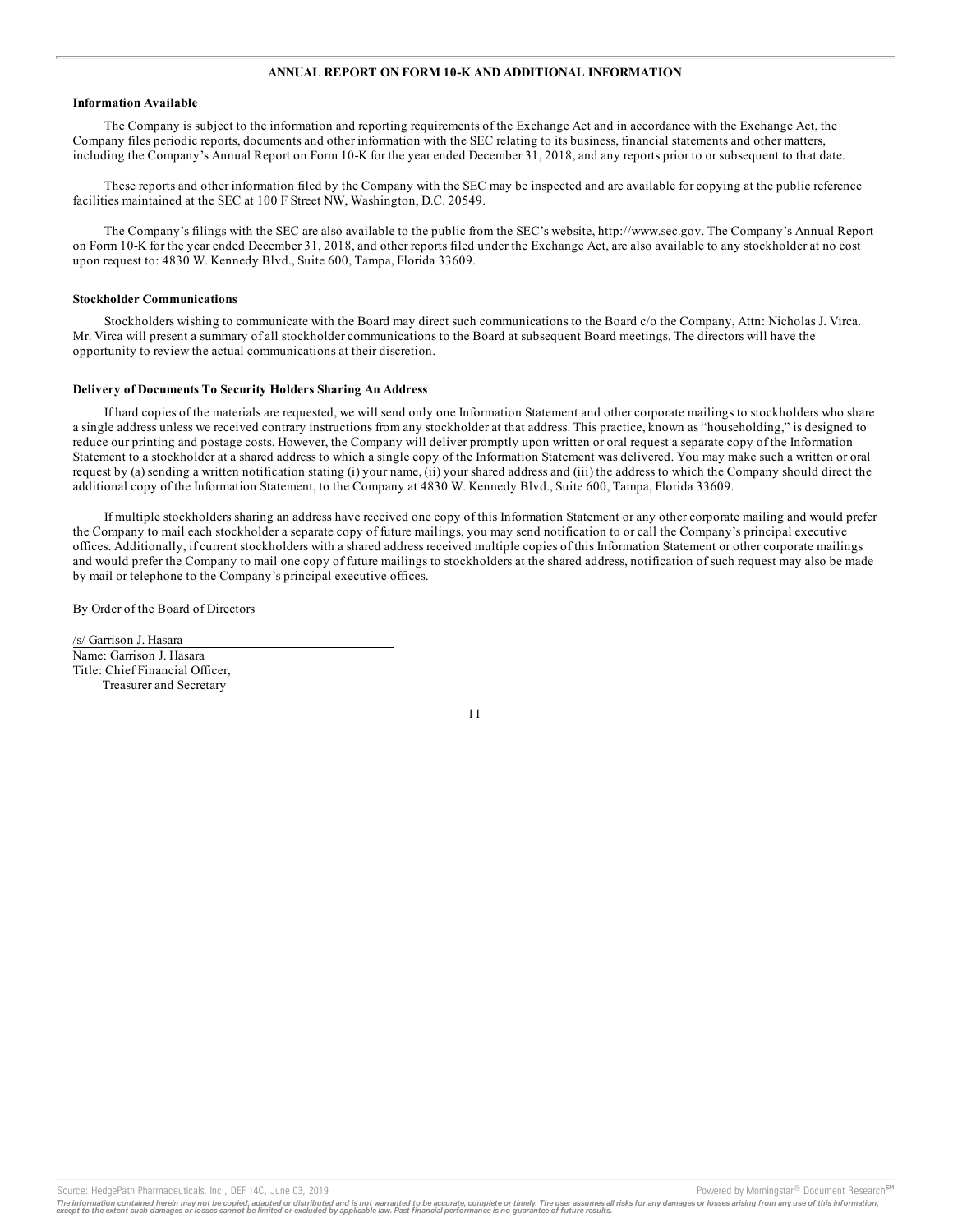#### **ANNUAL REPORT ON FORM 10-K AND ADDITIONAL INFORMATION**

#### **Information Available**

The Company is subject to the information and reporting requirements of the Exchange Act and in accordance with the Exchange Act, the Company files periodic reports, documents and other information with the SEC relating to its business, financial statements and other matters, including the Company's Annual Report on Form 10-K for the year ended December 31, 2018, and any reports prior to or subsequent to that date.

These reports and other information filed by the Company with the SEC may be inspected and are available for copying at the public reference facilities maintained at the SEC at 100 F Street NW, Washington, D.C. 20549.

The Company's filings with the SEC are also available to the public from the SEC's website, http://www.sec.gov. The Company's Annual Report on Form 10-K for the year ended December 31, 2018, and other reports filed under the Exchange Act, are also available to any stockholder at no cost upon request to: 4830 W. Kennedy Blvd., Suite 600, Tampa, Florida 33609.

#### **Stockholder Communications**

Stockholders wishing to communicate with the Board may direct such communications to the Board c/o the Company, Attn: Nicholas J. Virca. Mr. Virca will present a summary of all stockholder communications to the Board at subsequent Board meetings. The directors will have the opportunity to review the actual communications at their discretion.

#### **Delivery of Documents To Security Holders Sharing An Address**

If hard copies of the materials are requested, we will send only one Information Statement and other corporate mailings to stockholders who share a single address unless we received contrary instructions from any stockholder at that address. This practice, known as "householding," is designed to reduce our printing and postage costs. However, the Company will deliver promptly upon written or oral request a separate copy of the Information Statement to a stockholder at a shared address to which a single copy of the Information Statement was delivered. You may make such a written or oral request by (a) sending a written notification stating (i) your name, (ii) your shared address and (iii) the address to which the Company should direct the additional copy of the Information Statement, to the Company at 4830 W. Kennedy Blvd., Suite 600, Tampa, Florida 33609.

If multiple stockholders sharing an address have received one copy of this Information Statement or any other corporate mailing and would prefer the Company to mail each stockholder a separate copy of future mailings, you may send notification to or call the Company's principal executive offices. Additionally, if current stockholders with a shared address received multiple copies of this Information Statement or other corporate mailings and would prefer the Company to mail one copy of future mailings to stockholders at the shared address, notification of such request may also be made by mail or telephone to the Company's principal executive offices.

By Order of the Board of Directors

/s/ Garrison J. Hasara Name: Garrison J. Hasara Title: Chief Financial Officer, Treasurer and Secretary

The information contained herein may not be copied, adapted or distributed and is not warranted to be accurate, complete or timely. The user assumes all risks for any damages or losses arising from any use of this informat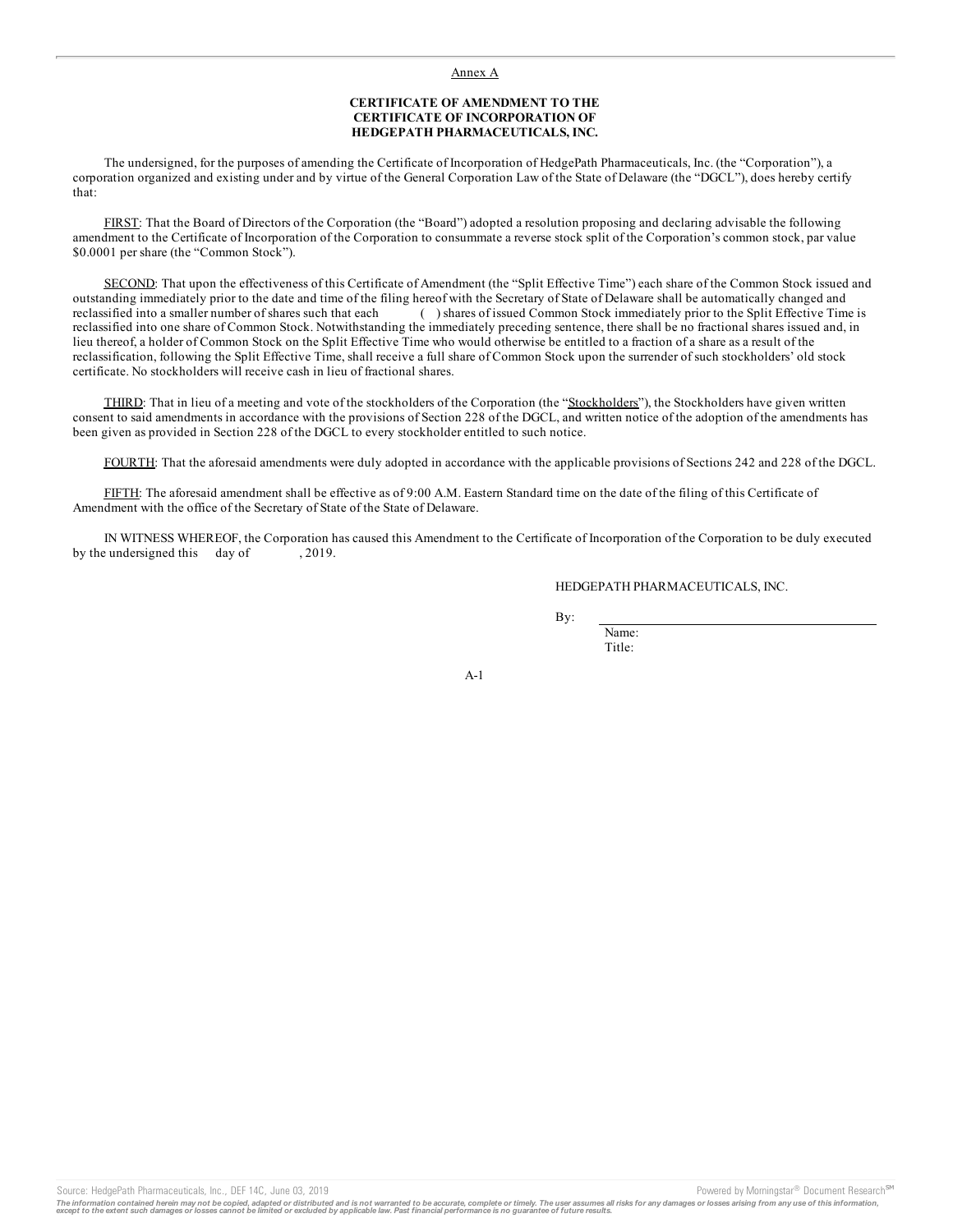#### Annex A

#### **CERTIFICATE OF AMENDMENT TO THE CERTIFICATE OF INCORPORATION OF HEDGEPATH PHARMACEUTICALS, INC.**

The undersigned, for the purposes of amending the Certificate of Incorporation of HedgePath Pharmaceuticals, Inc. (the "Corporation"), a corporation organized and existing under and by virtue of the General Corporation Law of the State of Delaware (the "DGCL"), does hereby certify that:

FIRST: That the Board of Directors of the Corporation (the "Board") adopted a resolution proposing and declaring advisable the following amendment to the Certificate of Incorporation of the Corporation to consummate a reverse stock split of the Corporation's common stock, par value \$0.0001 per share (the "Common Stock").

SECOND: That upon the effectiveness of this Certificate of Amendment (the "Split Effective Time") each share of the Common Stock issued and outstanding immediately prior to the date and time of the filing hereof with the Secretary of State of Delaware shall be automatically changed and reclassified into a smaller number of shares such that each ( ) shares of issued Common Stock immediately prior to the Split Effective Time is reclassified into one share of Common Stock. Notwithstanding the immediately preceding sentence, there shall be no fractional shares issued and, in lieu thereof, a holder of Common Stock on the Split Effective Time who would otherwise be entitled to a fraction of a share as a result of the reclassification, following the Split Effective Time, shall receive a full share of Common Stock upon the surrender of such stockholders' old stock certificate. No stockholders will receive cash in lieu of fractional shares.

THIRD: That in lieu of a meeting and vote of the stockholders of the Corporation (the "Stockholders"), the Stockholders have given written consent to said amendments in accordance with the provisions of Section 228 of the DGCL, and written notice of the adoption of the amendments has been given as provided in Section 228 of the DGCL to every stockholder entitled to such notice.

FOURTH: That the aforesaid amendments were duly adopted in accordance with the applicable provisions of Sections 242 and 228 of the DGCL.

FIFTH: The aforesaid amendment shall be effective as of 9:00 A.M. Eastern Standard time on the date of the filing of this Certificate of Amendment with the office of the Secretary of State of the State of Delaware.

IN WITNESS WHEREOF, the Corporation has caused this Amendment to the Certificate of Incorporation of the Corporation to be duly executed by the undersigned this day of , 2019.

HEDGEPATH PHARMACEUTICALS, INC.

By:

Name: Title:

 $A-1$ 

Source: HedgePath Pharmaceuticals, Inc., DEF 14C, June 03, 2019 **Powered by Morningstar® Document Research** Morningstar® Document Research Morningstar® Document Research Morningstar® Document Research Morningstar® Document